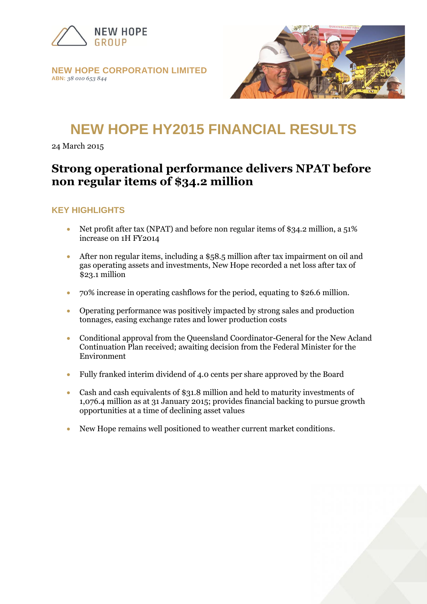

#### **NEW HOPE CORPORATION LIMITED ABN:** *38 010 653 844*



# **NEW HOPE HY2015 FINANCIAL RESULTS**

24 March 2015

# **Strong operational performance delivers NPAT before non regular items of \$34.2 million**

#### **KEY HIGHLIGHTS**

- Net profit after tax (NPAT) and before non regular items of \$34.2 million, a 51% increase on 1H FY2014
- After non regular items, including a \$58.5 million after tax impairment on oil and gas operating assets and investments, New Hope recorded a net loss after tax of \$23.1 million
- 70% increase in operating cashflows for the period, equating to \$26.6 million.
- Operating performance was positively impacted by strong sales and production tonnages, easing exchange rates and lower production costs
- Conditional approval from the Queensland Coordinator-General for the New Acland Continuation Plan received; awaiting decision from the Federal Minister for the Environment
- Fully franked interim dividend of 4.0 cents per share approved by the Board
- Cash and cash equivalents of \$31.8 million and held to maturity investments of 1,076.4 million as at 31 January 2015; provides financial backing to pursue growth opportunities at a time of declining asset values
- New Hope remains well positioned to weather current market conditions.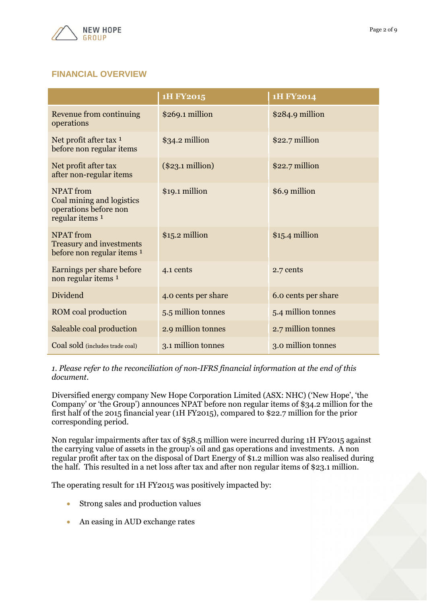

# **FINANCIAL OVERVIEW**

|                                                                                                      | 1H FY2015           | 1H FY2014           |
|------------------------------------------------------------------------------------------------------|---------------------|---------------------|
| Revenue from continuing<br>operations                                                                | \$269.1 million     | \$284.9 million     |
| Net profit after tax 1<br>before non regular items                                                   | \$34.2 million      | \$22.7 million      |
| Net profit after tax<br>after non-regular items                                                      | $(\$23.1$ million)  | \$22.7 million      |
| <b>NPAT</b> from<br>Coal mining and logistics<br>operations before non<br>regular items <sup>1</sup> | \$19.1 million      | \$6.9 million       |
| <b>NPAT</b> from<br><b>Treasury and investments</b><br>before non regular items 1                    | $$15.2$ million     | $$15.4$ million     |
| Earnings per share before<br>non regular items 1                                                     | 4.1 cents           | 2.7 cents           |
| Dividend                                                                                             | 4.0 cents per share | 6.0 cents per share |
| ROM coal production                                                                                  | 5.5 million tonnes  | 5.4 million tonnes  |
| Saleable coal production                                                                             | 2.9 million tonnes  | 2.7 million tonnes  |
| Coal sold (includes trade coal)                                                                      | 3.1 million tonnes  | 3.0 million tonnes  |

*1. Please refer to the reconciliation of non-IFRS financial information at the end of this document.*

Diversified energy company New Hope Corporation Limited (ASX: NHC) ('New Hope', 'the Company' or 'the Group') announces NPAT before non regular items of \$34.2 million for the first half of the 2015 financial year (1H FY2015), compared to \$22.7 million for the prior corresponding period.

Non regular impairments after tax of \$58.5 million were incurred during 1H FY2015 against the carrying value of assets in the group's oil and gas operations and investments. A non regular profit after tax on the disposal of Dart Energy of \$1.2 million was also realised during the half. This resulted in a net loss after tax and after non regular items of \$23.1 million.

The operating result for 1H FY2015 was positively impacted by:

- Strong sales and production values
- An easing in AUD exchange rates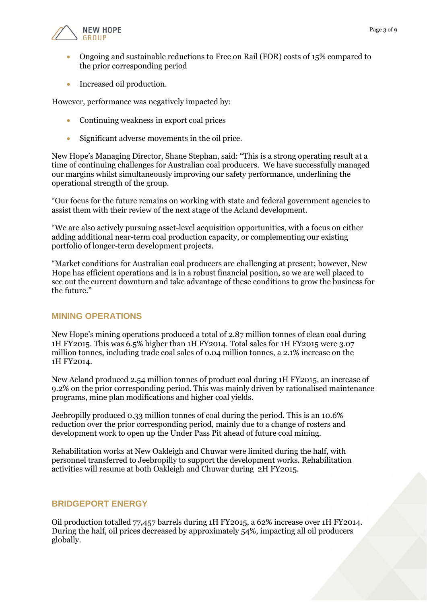



- Ongoing and sustainable reductions to Free on Rail (FOR) costs of 15% compared to the prior corresponding period
- Increased oil production.

However, performance was negatively impacted by:

- Continuing weakness in export coal prices
- Significant adverse movements in the oil price.

New Hope's Managing Director, Shane Stephan, said: "This is a strong operating result at a time of continuing challenges for Australian coal producers. We have successfully managed our margins whilst simultaneously improving our safety performance, underlining the operational strength of the group.

"Our focus for the future remains on working with state and federal government agencies to assist them with their review of the next stage of the Acland development.

"We are also actively pursuing asset-level acquisition opportunities, with a focus on either adding additional near-term coal production capacity, or complementing our existing portfolio of longer-term development projects.

"Market conditions for Australian coal producers are challenging at present; however, New Hope has efficient operations and is in a robust financial position, so we are well placed to see out the current downturn and take advantage of these conditions to grow the business for the future."

#### **MINING OPERATIONS**

New Hope's mining operations produced a total of 2.87 million tonnes of clean coal during 1H FY2015. This was 6.5% higher than 1H FY2014. Total sales for 1H FY2015 were 3.07 million tonnes, including trade coal sales of 0.04 million tonnes, a 2.1% increase on the 1H FY2014.

New Acland produced 2.54 million tonnes of product coal during 1H FY2015, an increase of 9.2% on the prior corresponding period. This was mainly driven by rationalised maintenance programs, mine plan modifications and higher coal yields.

Jeebropilly produced 0.33 million tonnes of coal during the period. This is an 10.6% reduction over the prior corresponding period, mainly due to a change of rosters and development work to open up the Under Pass Pit ahead of future coal mining.

Rehabilitation works at New Oakleigh and Chuwar were limited during the half, with personnel transferred to Jeebropilly to support the development works. Rehabilitation activities will resume at both Oakleigh and Chuwar during 2H FY2015.

#### **BRIDGEPORT ENERGY**

Oil production totalled 77,457 barrels during 1H FY2015, a 62% increase over 1H FY2014. During the half, oil prices decreased by approximately 54%, impacting all oil producers globally.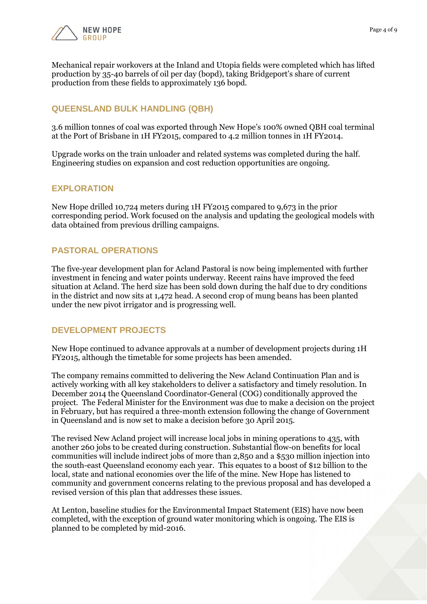

Mechanical repair workovers at the Inland and Utopia fields were completed which has lifted production by 35-40 barrels of oil per day (bopd), taking Bridgeport's share of current production from these fields to approximately 136 bopd.

#### **QUEENSLAND BULK HANDLING (QBH)**

3.6 million tonnes of coal was exported through New Hope's 100% owned QBH coal terminal at the Port of Brisbane in 1H FY2015, compared to 4.2 million tonnes in 1H FY2014.

Upgrade works on the train unloader and related systems was completed during the half. Engineering studies on expansion and cost reduction opportunities are ongoing.

#### **EXPLORATION**

New Hope drilled 10,724 meters during 1H FY2015 compared to 9,673 in the prior corresponding period. Work focused on the analysis and updating the geological models with data obtained from previous drilling campaigns.

#### **PASTORAL OPERATIONS**

The five-year development plan for Acland Pastoral is now being implemented with further investment in fencing and water points underway. Recent rains have improved the feed situation at Acland. The herd size has been sold down during the half due to dry conditions in the district and now sits at 1,472 head. A second crop of mung beans has been planted under the new pivot irrigator and is progressing well.

#### **DEVELOPMENT PROJECTS**

New Hope continued to advance approvals at a number of development projects during 1H FY2015, although the timetable for some projects has been amended.

The company remains committed to delivering the New Acland Continuation Plan and is actively working with all key stakeholders to deliver a satisfactory and timely resolution. In December 2014 the Queensland Coordinator-General (COG) conditionally approved the project. The Federal Minister for the Environment was due to make a decision on the project in February, but has required a three-month extension following the change of Government in Queensland and is now set to make a decision before 30 April 2015.

The revised New Acland project will increase local jobs in mining operations to 435, with another 260 jobs to be created during construction. Substantial flow-on benefits for local communities will include indirect jobs of more than 2,850 and a \$530 million injection into the south-east Queensland economy each year. This equates to a boost of \$12 billion to the local, state and national economies over the life of the mine. New Hope has listened to community and government concerns relating to the previous proposal and has developed a revised version of this plan that addresses these issues.

At Lenton, baseline studies for the Environmental Impact Statement (EIS) have now been completed, with the exception of ground water monitoring which is ongoing. The EIS is planned to be completed by mid-2016.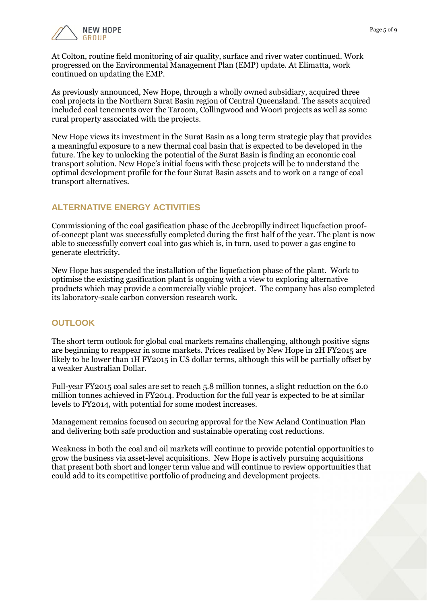

At Colton, routine field monitoring of air quality, surface and river water continued. Work progressed on the Environmental Management Plan (EMP) update. At Elimatta, work continued on updating the EMP.

As previously announced, New Hope, through a wholly owned subsidiary, acquired three coal projects in the Northern Surat Basin region of Central Queensland. The assets acquired included coal tenements over the Taroom, Collingwood and Woori projects as well as some rural property associated with the projects.

New Hope views its investment in the Surat Basin as a long term strategic play that provides a meaningful exposure to a new thermal coal basin that is expected to be developed in the future. The key to unlocking the potential of the Surat Basin is finding an economic coal transport solution. New Hope's initial focus with these projects will be to understand the optimal development profile for the four Surat Basin assets and to work on a range of coal transport alternatives.

# **ALTERNATIVE ENERGY ACTIVITIES**

Commissioning of the coal gasification phase of the Jeebropilly indirect liquefaction proofof-concept plant was successfully completed during the first half of the year. The plant is now able to successfully convert coal into gas which is, in turn, used to power a gas engine to generate electricity.

New Hope has suspended the installation of the liquefaction phase of the plant. Work to optimise the existing gasification plant is ongoing with a view to exploring alternative products which may provide a commercially viable project. The company has also completed its laboratory-scale carbon conversion research work.

# **OUTLOOK**

The short term outlook for global coal markets remains challenging, although positive signs are beginning to reappear in some markets. Prices realised by New Hope in 2H FY2015 are likely to be lower than 1H FY2015 in US dollar terms, although this will be partially offset by a weaker Australian Dollar.

Full-year FY2015 coal sales are set to reach 5.8 million tonnes, a slight reduction on the 6.0 million tonnes achieved in FY2014. Production for the full year is expected to be at similar levels to FY2014, with potential for some modest increases.

Management remains focused on securing approval for the New Acland Continuation Plan and delivering both safe production and sustainable operating cost reductions.

Weakness in both the coal and oil markets will continue to provide potential opportunities to grow the business via asset-level acquisitions. New Hope is actively pursuing acquisitions that present both short and longer term value and will continue to review opportunities that could add to its competitive portfolio of producing and development projects.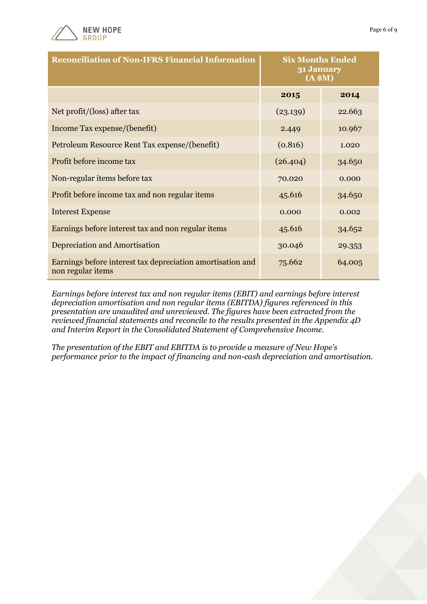

| <b>Reconciliation of Non-IFRS Financial Information</b>                         | <b>Six Months Ended</b><br>31 January<br>(A \$M) |        |
|---------------------------------------------------------------------------------|--------------------------------------------------|--------|
|                                                                                 | 2015                                             | 2014   |
| Net profit/(loss) after tax                                                     | (23.139)                                         | 22.663 |
| Income Tax expense/(benefit)                                                    | 2.449                                            | 10.967 |
| Petroleum Resource Rent Tax expense/(benefit)                                   | (0.816)                                          | 1.020  |
| Profit before income tax                                                        | (26.404)                                         | 34.650 |
| Non-regular items before tax                                                    | 70.020                                           | 0.000  |
| Profit before income tax and non regular items                                  | 45.616                                           | 34.650 |
| <b>Interest Expense</b>                                                         | 0.000                                            | 0.002  |
| Earnings before interest tax and non regular items                              | 45.616                                           | 34.652 |
| Depreciation and Amortisation                                                   | 30.046                                           | 29.353 |
| Earnings before interest tax depreciation amortisation and<br>non regular items | 75.662                                           | 64.005 |

*Earnings before interest tax and non regular items (EBIT) and earnings before interest depreciation amortisation and non regular items (EBITDA) figures referenced in this presentation are unaudited and unreviewed. The figures have been extracted from the reviewed financial statements and reconcile to the results presented in the Appendix 4D and Interim Report in the Consolidated Statement of Comprehensive Income.*

*The presentation of the EBIT and EBITDA is to provide a measure of New Hope's performance prior to the impact of financing and non-cash depreciation and amortisation.* 

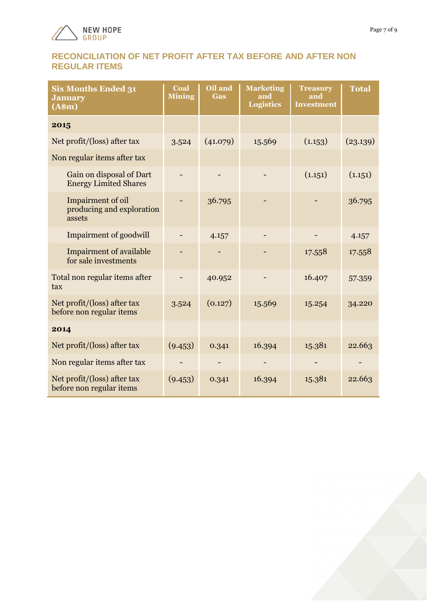

#### **RECONCILIATION OF NET PROFIT AFTER TAX BEFORE AND AFTER NON REGULAR ITEMS**

| <b>Six Months Ended 31</b><br><b>January</b><br>(A\$m)   | Coal<br><b>Mining</b> | Oil and<br><b>Gas</b> | <b>Marketing</b><br>and<br><b>Logistics</b> | <b>Treasury</b><br>and<br><b>Investment</b> | <b>Total</b> |
|----------------------------------------------------------|-----------------------|-----------------------|---------------------------------------------|---------------------------------------------|--------------|
| 2015                                                     |                       |                       |                                             |                                             |              |
| Net profit/(loss) after tax                              | 3.524                 | (41.079)              | 15.569                                      | (1.153)                                     | (23.139)     |
| Non regular items after tax                              |                       |                       |                                             |                                             |              |
| Gain on disposal of Dart<br><b>Energy Limited Shares</b> |                       |                       |                                             | (1.151)                                     | (1.151)      |
| Impairment of oil<br>producing and exploration<br>assets |                       | 36.795                |                                             |                                             | 36.795       |
| <b>Impairment of goodwill</b>                            |                       | 4.157                 |                                             |                                             | 4.157        |
| <b>Impairment of available</b><br>for sale investments   |                       |                       |                                             | 17.558                                      | 17.558       |
| Total non regular items after<br>tax                     |                       | 40.952                |                                             | 16.407                                      | 57.359       |
| Net profit/(loss) after tax<br>before non regular items  | 3.524                 | (0.127)               | 15.569                                      | 15.254                                      | 34.220       |
| 2014                                                     |                       |                       |                                             |                                             |              |
| Net profit/(loss) after tax                              | (9.453)               | 0.341                 | 16.394                                      | 15.381                                      | 22.663       |
| Non regular items after tax                              |                       |                       |                                             |                                             |              |
| Net profit/(loss) after tax<br>before non regular items  | (9.453)               | 0.341                 | 16.394                                      | 15.381                                      | 22.663       |

Page 7 of 9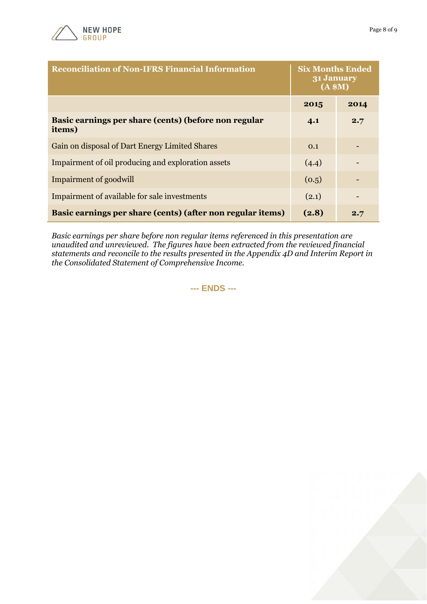

| <b>Reconciliation of Non-IFRS Financial Information</b>        | <b>Six Months Ended</b><br>31 January<br>(A \$M) |      |
|----------------------------------------------------------------|--------------------------------------------------|------|
|                                                                | 2015                                             | 2014 |
| Basic earnings per share (cents) (before non regular<br>items) | 4.1                                              | 2.7  |
| Gain on disposal of Dart Energy Limited Shares                 | 0.1                                              |      |
| Impairment of oil producing and exploration assets             | (4.4)                                            |      |
| Impairment of goodwill                                         | (0.5)                                            |      |
| Impairment of available for sale investments                   | (2.1)                                            |      |
| Basic earnings per share (cents) (after non regular items)     | (2.8)                                            | 2.7  |

*Basic earnings per share before non regular items referenced in this presentation are unaudited and unreviewed. The figures have been extracted from the reviewed financial statements and reconcile to the results presented in the Appendix 4D and Interim Report in the Consolidated Statement of Comprehensive Income.*

**--- ENDS ---**